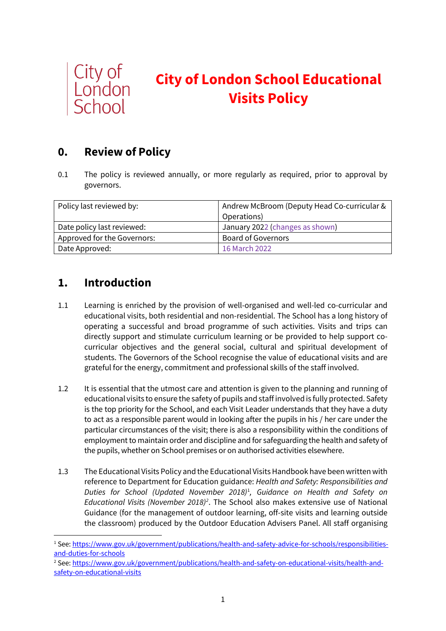

# **City of London School Educational Visits Policy**

# **0. Review of Policy**

0.1 The policy is reviewed annually, or more regularly as required, prior to approval by governors.

| Policy last reviewed by:    | Andrew McBroom (Deputy Head Co-curricular & |
|-----------------------------|---------------------------------------------|
|                             | Operations)                                 |
| Date policy last reviewed:  | January 2022 (changes as shown)             |
| Approved for the Governors: | <b>Board of Governors</b>                   |
| Date Approved:              | 16 March 2022                               |

# **1. Introduction**

- 1.1 Learning is enriched by the provision of well-organised and well-led co-curricular and educational visits, both residential and non-residential. The School has a long history of operating a successful and broad programme of such activities. Visits and trips can directly support and stimulate curriculum learning or be provided to help support cocurricular objectives and the general social, cultural and spiritual development of students. The Governors of the School recognise the value of educational visits and are grateful for the energy, commitment and professional skills of the staff involved.
- 1.2 It is essential that the utmost care and attention is given to the planning and running of educational visits to ensure the safety of pupils and staff involved is fully protected. Safety is the top priority for the School, and each Visit Leader understands that they have a duty to act as a responsible parent would in looking after the pupils in his / her care under the particular circumstances of the visit; there is also a responsibility within the conditions of employment to maintain order and discipline and for safeguarding the health and safety of the pupils, whether on School premises or on authorised activities elsewhere.
- 1.3 The Educational Visits Policy and the Educational Visits Handbook have been written with reference to Department for Education guidance: *Health and Safety: Responsibilities and Duties for School (Updated November 2018)*[1](#page-0-0) *, Guidance on Health and Safety on Educational Visits (November 2018)[2](#page-0-1)* . The School also makes extensive use of National Guidance (for the management of outdoor learning, off-site visits and learning outside the classroom) produced by the Outdoor Education Advisers Panel. All staff organising

<span id="page-0-0"></span><sup>1</sup> See[: https://www.gov.uk/government/publications/health-and-safety-advice-for-schools/responsibilities](https://www.gov.uk/government/publications/health-and-safety-advice-for-schools/responsibilities-and-duties-for-schools)[and-duties-for-schools](https://www.gov.uk/government/publications/health-and-safety-advice-for-schools/responsibilities-and-duties-for-schools)

<span id="page-0-1"></span><sup>2</sup> See[: https://www.gov.uk/government/publications/health-and-safety-on-educational-visits/health-and](https://www.gov.uk/government/publications/health-and-safety-on-educational-visits/health-and-safety-on-educational-visits)[safety-on-educational-visits](https://www.gov.uk/government/publications/health-and-safety-on-educational-visits/health-and-safety-on-educational-visits)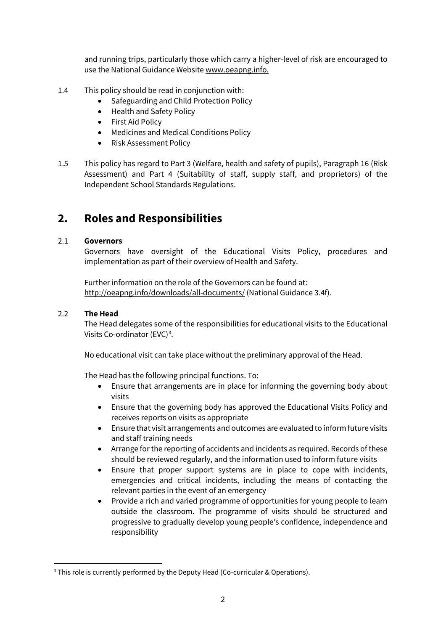and running trips, particularly those which carry a higher-level of risk are encouraged to use the National Guidance Websit[e www.oeapng.info.](http://www.oeapng.info/)

- 1.4 This policy should be read in conjunction with:
	- Safeguarding and Child Protection Policy
	- Health and Safety Policy
	- First Aid Policy
	- Medicines and Medical Conditions Policy
	- Risk Assessment Policy
- 1.5 This policy has regard to Part 3 (Welfare, health and safety of pupils), Paragraph 16 (Risk Assessment) and Part 4 (Suitability of staff, supply staff, and proprietors) of the Independent School Standards Regulations.

# **2. Roles and Responsibilities**

#### 2.1 **Governors**

Governors have oversight of the Educational Visits Policy, procedures and implementation as part of their overview of Health and Safety.

Further information on the role of the Governors can be found at: <http://oeapng.info/downloads/all-documents/> (National Guidance 3.4f).

#### 2.2 **The Head**

The Head delegates some of the responsibilities for educational visits to the Educational Visits Co-ordinator (EVC)<sup>[3](#page-1-0)</sup>.

No educational visit can take place without the preliminary approval of the Head.

The Head has the following principal functions. To:

- Ensure that arrangements are in place for informing the governing body about visits
- Ensure that the governing body has approved the Educational Visits Policy and receives reports on visits as appropriate
- Ensure that visit arrangements and outcomes are evaluated to inform future visits and staff training needs
- Arrange for the reporting of accidents and incidents as required. Records of these should be reviewed regularly, and the information used to inform future visits
- Ensure that proper support systems are in place to cope with incidents, emergencies and critical incidents, including the means of contacting the relevant parties in the event of an emergency
- Provide a rich and varied programme of opportunities for young people to learn outside the classroom. The programme of visits should be structured and progressive to gradually develop young people's confidence, independence and responsibility

<span id="page-1-0"></span><sup>&</sup>lt;sup>3</sup> This role is currently performed by the Deputy Head (Co-curricular & Operations).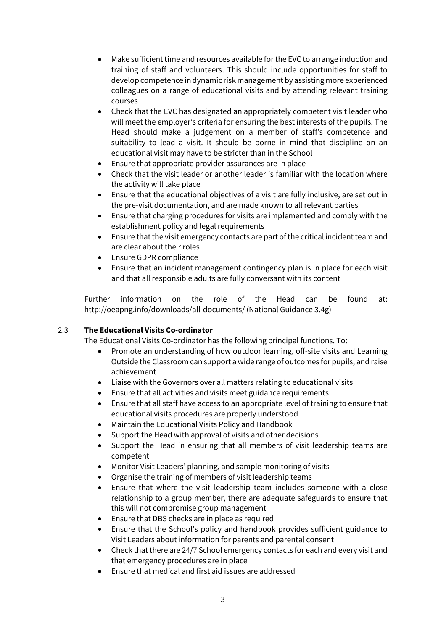- Make sufficient time and resources available for the EVC to arrange induction and training of staff and volunteers. This should include opportunities for staff to develop competence in dynamic risk management by assisting more experienced colleagues on a range of educational visits and by attending relevant training courses
- Check that the EVC has designated an appropriately competent visit leader who will meet the employer's criteria for ensuring the best interests of the pupils. The Head should make a judgement on a member of staff's competence and suitability to lead a visit. It should be borne in mind that discipline on an educational visit may have to be stricter than in the School
- Ensure that appropriate provider assurances are in place
- Check that the visit leader or another leader is familiar with the location where the activity will take place
- Ensure that the educational objectives of a visit are fully inclusive, are set out in the pre-visit documentation, and are made known to all relevant parties
- Ensure that charging procedures for visits are implemented and comply with the establishment policy and legal requirements
- Ensure that the visit emergency contacts are part of the critical incident team and are clear about their roles
- Ensure GDPR compliance
- Ensure that an incident management contingency plan is in place for each visit and that all responsible adults are fully conversant with its content

Further information on the role of the Head can be found at: <http://oeapng.info/downloads/all-documents/> (National Guidance 3.4g)

#### 2.3 **The Educational Visits Co-ordinator**

The Educational Visits Co-ordinator has the following principal functions. To:

- Promote an understanding of how outdoor learning, off-site visits and Learning Outside the Classroom can support a wide range of outcomes for pupils, and raise achievement
- Liaise with the Governors over all matters relating to educational visits
- Ensure that all activities and visits meet guidance requirements
- Ensure that all staff have access to an appropriate level of training to ensure that educational visits procedures are properly understood
- Maintain the Educational Visits Policy and Handbook
- Support the Head with approval of visits and other decisions
- Support the Head in ensuring that all members of visit leadership teams are competent
- Monitor Visit Leaders' planning, and sample monitoring of visits
- Organise the training of members of visit leadership teams
- Ensure that where the visit leadership team includes someone with a close relationship to a group member, there are adequate safeguards to ensure that this will not compromise group management
- Ensure that DBS checks are in place as required
- Ensure that the School's policy and handbook provides sufficient guidance to Visit Leaders about information for parents and parental consent
- Check that there are 24/7 School emergency contacts for each and every visit and that emergency procedures are in place
- Ensure that medical and first aid issues are addressed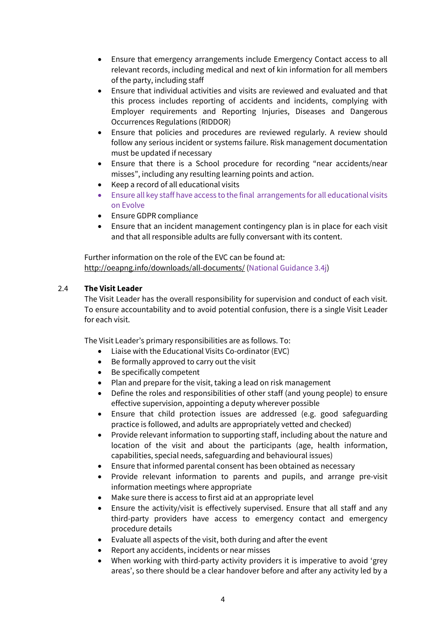- Ensure that emergency arrangements include Emergency Contact access to all relevant records, including medical and next of kin information for all members of the party, including staff
- Ensure that individual activities and visits are reviewed and evaluated and that this process includes reporting of accidents and incidents, complying with Employer requirements and Reporting Injuries, Diseases and Dangerous Occurrences Regulations (RIDDOR)
- Ensure that policies and procedures are reviewed regularly. A review should follow any serious incident or systems failure. Risk management documentation must be updated if necessary
- Ensure that there is a School procedure for recording "near accidents/near misses", including any resulting learning points and action.
- Keep a record of all educational visits
- Ensure all key staff have access to the final arrangements for all educational visits on Evolve
- Ensure GDPR compliance
- Ensure that an incident management contingency plan is in place for each visit and that all responsible adults are fully conversant with its content.

Further information on the role of the EVC can be found at: <http://oeapng.info/downloads/all-documents/> (National Guidance 3.4j)

#### 2.4 **The Visit Leader**

The Visit Leader has the overall responsibility for supervision and conduct of each visit. To ensure accountability and to avoid potential confusion, there is a single Visit Leader for each visit.

The Visit Leader's primary responsibilities are as follows. To:

- Liaise with the Educational Visits Co-ordinator (EVC)
- Be formally approved to carry out the visit
- Be specifically competent
- Plan and prepare for the visit, taking a lead on risk management
- Define the roles and responsibilities of other staff (and young people) to ensure effective supervision, appointing a deputy wherever possible
- Ensure that child protection issues are addressed (e.g. good safeguarding practice is followed, and adults are appropriately vetted and checked)
- Provide relevant information to supporting staff, including about the nature and location of the visit and about the participants (age, health information, capabilities, special needs, safeguarding and behavioural issues)
- Ensure that informed parental consent has been obtained as necessary
- Provide relevant information to parents and pupils, and arrange pre-visit information meetings where appropriate
- Make sure there is access to first aid at an appropriate level
- Ensure the activity/visit is effectively supervised. Ensure that all staff and any third-party providers have access to emergency contact and emergency procedure details
- Evaluate all aspects of the visit, both during and after the event
- Report any accidents, incidents or near misses
- When working with third-party activity providers it is imperative to avoid 'grey areas', so there should be a clear handover before and after any activity led by a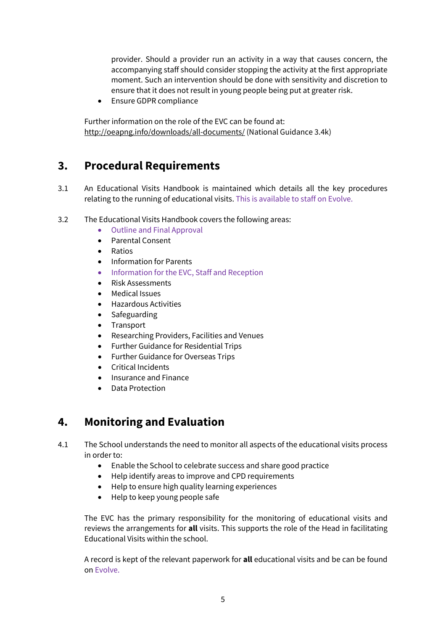provider. Should a provider run an activity in a way that causes concern, the accompanying staff should consider stopping the activity at the first appropriate moment. Such an intervention should be done with sensitivity and discretion to ensure that it does not result in young people being put at greater risk.

• Ensure GDPR compliance

Further information on the role of the EVC can be found at: <http://oeapng.info/downloads/all-documents/> (National Guidance 3.4k)

### **3. Procedural Requirements**

- 3.1 An Educational Visits Handbook is maintained which details all the key procedures relating to the running of educational visits. This is available to staff on Evolve.
- 3.2 The Educational Visits Handbook covers the following areas:
	- Outline and Final Approval
	- Parental Consent
	- Ratios
	- Information for Parents
	- Information for the EVC, Staff and Reception
	- Risk Assessments
	- Medical Issues
	- Hazardous Activities
	- Safeguarding
	- Transport
	- Researching Providers, Facilities and Venues
	- Further Guidance for Residential Trips
	- Further Guidance for Overseas Trips
	- Critical Incidents
	- Insurance and Finance
	- Data Protection

### **4. Monitoring and Evaluation**

- 4.1 The School understands the need to monitor all aspects of the educational visits process in order to:
	- Enable the School to celebrate success and share good practice
	- Help identify areas to improve and CPD requirements
	- Help to ensure high quality learning experiences
	- Help to keep young people safe

The EVC has the primary responsibility for the monitoring of educational visits and reviews the arrangements for **all** visits. This supports the role of the Head in facilitating Educational Visits within the school.

A record is kept of the relevant paperwork for **all** educational visits and be can be found on Evolve.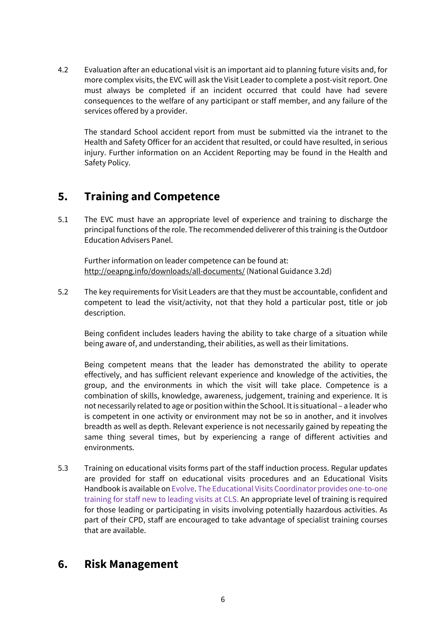4.2 Evaluation after an educational visit is an important aid to planning future visits and, for more complex visits, the EVC will ask the Visit Leader to complete a post-visit report. One must always be completed if an incident occurred that could have had severe consequences to the welfare of any participant or staff member, and any failure of the services offered by a provider.

The standard School accident report from must be submitted via the intranet to the Health and Safety Officer for an accident that resulted, or could have resulted, in serious injury. Further information on an Accident Reporting may be found in the Health and Safety Policy.

### **5. Training and Competence**

5.1 The EVC must have an appropriate level of experience and training to discharge the principal functions of the role. The recommended deliverer of this training is the Outdoor Education Advisers Panel.

Further information on leader competence can be found at: <http://oeapng.info/downloads/all-documents/> (National Guidance 3.2d)

5.2 The key requirements for Visit Leaders are that they must be accountable, confident and competent to lead the visit/activity, not that they hold a particular post, title or job description.

Being confident includes leaders having the ability to take charge of a situation while being aware of, and understanding, their abilities, as well as their limitations.

Being competent means that the leader has demonstrated the ability to operate effectively, and has sufficient relevant experience and knowledge of the activities, the group, and the environments in which the visit will take place. Competence is a combination of skills, knowledge, awareness, judgement, training and experience. It is not necessarily related to age or position within the School. It is situational – a leader who is competent in one activity or environment may not be so in another, and it involves breadth as well as depth. Relevant experience is not necessarily gained by repeating the same thing several times, but by experiencing a range of different activities and environments.

5.3 Training on educational visits forms part of the staff induction process. Regular updates are provided for staff on educational visits procedures and an Educational Visits Handbook is available on Evolve. The Educational Visits Coordinator provides one-to-one training for staff new to leading visits at CLS. An appropriate level of training is required for those leading or participating in visits involving potentially hazardous activities. As part of their CPD, staff are encouraged to take advantage of specialist training courses that are available.

### **6. Risk Management**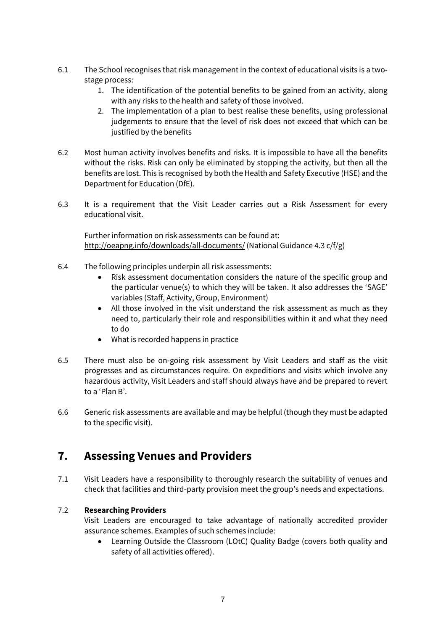- 6.1 The School recognises that risk management in the context of educational visits is a twostage process:
	- 1. The identification of the potential benefits to be gained from an activity, along with any risks to the health and safety of those involved.
	- 2. The implementation of a plan to best realise these benefits, using professional judgements to ensure that the level of risk does not exceed that which can be justified by the benefits
- 6.2 Most human activity involves benefits and risks. It is impossible to have all the benefits without the risks. Risk can only be eliminated by stopping the activity, but then all the benefits are lost. This is recognised by both the Health and Safety Executive (HSE) and the Department for Education (DfE).
- 6.3 It is a requirement that the Visit Leader carries out a Risk Assessment for every educational visit.

Further information on risk assessments can be found at: <http://oeapng.info/downloads/all-documents/> (National Guidance 4.3 c/f/g)

- 6.4 The following principles underpin all risk assessments:
	- Risk assessment documentation considers the nature of the specific group and the particular venue(s) to which they will be taken. It also addresses the 'SAGE' variables (Staff, Activity, Group, Environment)
	- All those involved in the visit understand the risk assessment as much as they need to, particularly their role and responsibilities within it and what they need to do
	- What is recorded happens in practice
- 6.5 There must also be on-going risk assessment by Visit Leaders and staff as the visit progresses and as circumstances require. On expeditions and visits which involve any hazardous activity, Visit Leaders and staff should always have and be prepared to revert to a 'Plan B'.
- 6.6 Generic risk assessments are available and may be helpful (though they must be adapted to the specific visit).

# **7. Assessing Venues and Providers**

7.1 Visit Leaders have a responsibility to thoroughly research the suitability of venues and check that facilities and third-party provision meet the group's needs and expectations.

#### 7.2 **Researching Providers**

Visit Leaders are encouraged to take advantage of nationally accredited provider assurance schemes. Examples of such schemes include:

• Learning Outside the Classroom (LOtC) Quality Badge (covers both quality and safety of all activities offered).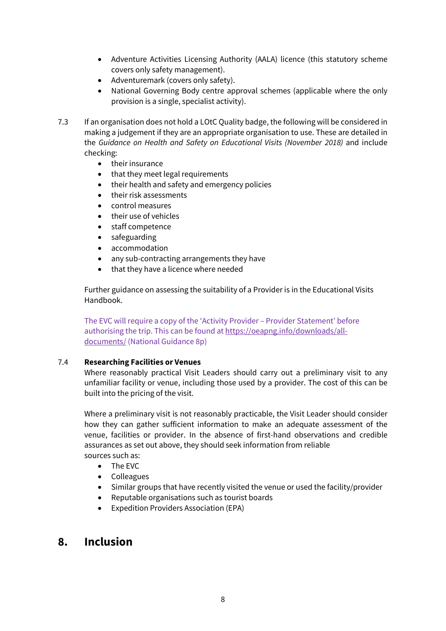- Adventure Activities Licensing Authority (AALA) licence (this statutory scheme covers only safety management).
- Adventuremark (covers only safety).
- National Governing Body centre approval schemes (applicable where the only provision is a single, specialist activity).
- 7.3 If an organisation does not hold a LOtC Quality badge, the following will be considered in making a judgement if they are an appropriate organisation to use. These are detailed in the *Guidance on Health and Safety on Educational Visits (November 2018)* and include checking:
	- their insurance
	- that they meet legal requirements
	- their health and safety and emergency policies
	- their risk assessments
	- control measures
	- their use of vehicles
	- staff competence
	- safeguarding
	- accommodation
	- any sub-contracting arrangements they have
	- that they have a licence where needed

Further guidance on assessing the suitability of a Provider is in the Educational Visits Handbook.

The EVC will require a copy of the 'Activity Provider – Provider Statement' before authorising the trip. This can be found at [https://oeapng.info/downloads/all](https://oeapng.info/downloads/all-documents/)[documents/](https://oeapng.info/downloads/all-documents/) (National Guidance 8p)

#### 7.4 **Researching Facilities or Venues**

Where reasonably practical Visit Leaders should carry out a preliminary visit to any unfamiliar facility or venue, including those used by a provider. The cost of this can be built into the pricing of the visit.

Where a preliminary visit is not reasonably practicable, the Visit Leader should consider how they can gather sufficient information to make an adequate assessment of the venue, facilities or provider. In the absence of first-hand observations and credible assurances as set out above, they should seek information from reliable sources such as:

- The EVC
- Colleagues
- Similar groups that have recently visited the venue or used the facility/provider
- Reputable organisations such as tourist boards
- Expedition Providers Association (EPA)

### **8. Inclusion**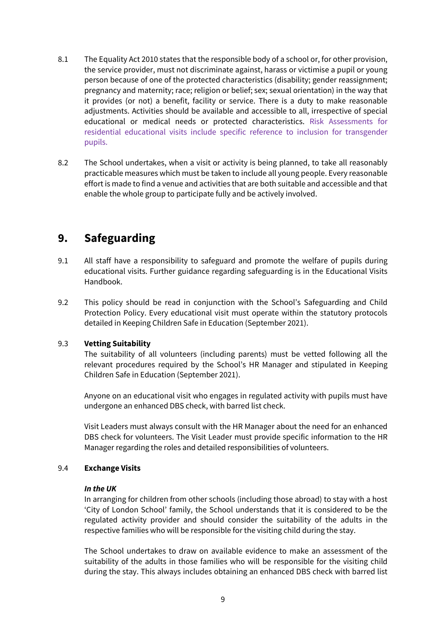- 8.1 The Equality Act 2010 states that the responsible body of a school or, for other provision, the service provider, must not discriminate against, harass or victimise a pupil or young person because of one of the protected characteristics (disability; gender reassignment; pregnancy and maternity; race; religion or belief; sex; sexual orientation) in the way that it provides (or not) a benefit, facility or service. There is a duty to make reasonable adjustments. Activities should be available and accessible to all, irrespective of special educational or medical needs or protected characteristics. Risk Assessments for residential educational visits include specific reference to inclusion for transgender pupils.
- 8.2 The School undertakes, when a visit or activity is being planned, to take all reasonably practicable measures which must be taken to include all young people. Every reasonable effort is made to find a venue and activities that are both suitable and accessible and that enable the whole group to participate fully and be actively involved.

### **9. Safeguarding**

- 9.1 All staff have a responsibility to safeguard and promote the welfare of pupils during educational visits. Further guidance regarding safeguarding is in the Educational Visits Handbook.
- 9.2 This policy should be read in conjunction with the School's Safeguarding and Child Protection Policy. Every educational visit must operate within the statutory protocols detailed in Keeping Children Safe in Education (September 2021).

#### 9.3 **Vetting Suitability**

The suitability of all volunteers (including parents) must be vetted following all the relevant procedures required by the School's HR Manager and stipulated in Keeping Children Safe in Education (September 2021).

Anyone on an educational visit who engages in regulated activity with pupils must have undergone an enhanced DBS check, with barred list check.

Visit Leaders must always consult with the HR Manager about the need for an enhanced DBS check for volunteers. The Visit Leader must provide specific information to the HR Manager regarding the roles and detailed responsibilities of volunteers.

#### 9.4 **Exchange Visits**

#### *In the UK*

In arranging for children from other schools (including those abroad) to stay with a host 'City of London School' family, the School understands that it is considered to be the regulated activity provider and should consider the suitability of the adults in the respective families who will be responsible for the visiting child during the stay.

The School undertakes to draw on available evidence to make an assessment of the suitability of the adults in those families who will be responsible for the visiting child during the stay. This always includes obtaining an enhanced DBS check with barred list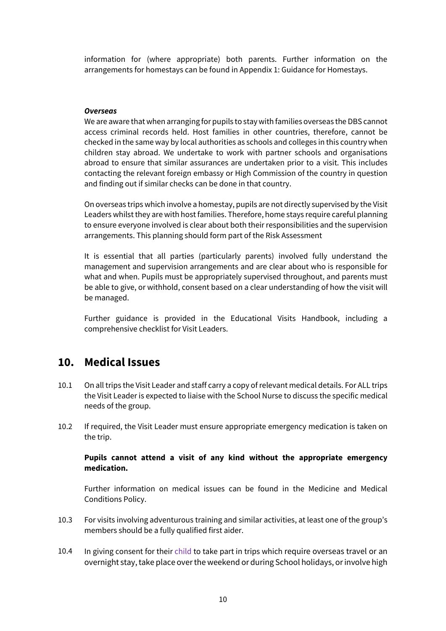information for (where appropriate) both parents. Further information on the arrangements for homestays can be found in Appendix 1: Guidance for Homestays.

#### *Overseas*

We are aware that when arranging for pupils to stay with families overseas the DBS cannot access criminal records held. Host families in other countries, therefore, cannot be checked in the same way by local authorities as schools and colleges in this country when children stay abroad. We undertake to work with partner schools and organisations abroad to ensure that similar assurances are undertaken prior to a visit. This includes contacting the relevant foreign embassy or High Commission of the country in question and finding out if similar checks can be done in that country.

On overseas trips which involve a homestay, pupils are not directly supervised by the Visit Leaders whilst they are with host families. Therefore, home stays require careful planning to ensure everyone involved is clear about both their responsibilities and the supervision arrangements. This planning should form part of the Risk Assessment

It is essential that all parties (particularly parents) involved fully understand the management and supervision arrangements and are clear about who is responsible for what and when. Pupils must be appropriately supervised throughout, and parents must be able to give, or withhold, consent based on a clear understanding of how the visit will be managed.

Further guidance is provided in the Educational Visits Handbook, including a comprehensive checklist for Visit Leaders.

### **10. Medical Issues**

- 10.1 On all trips the Visit Leader and staff carry a copy of relevant medical details. For ALL trips the Visit Leader is expected to liaise with the School Nurse to discuss the specific medical needs of the group.
- 10.2 If required, the Visit Leader must ensure appropriate emergency medication is taken on the trip.

#### **Pupils cannot attend a visit of any kind without the appropriate emergency medication.**

Further information on medical issues can be found in the Medicine and Medical Conditions Policy.

- 10.3 For visits involving adventurous training and similar activities, at least one of the group's members should be a fully qualified first aider.
- 10.4 In giving consent for their child to take part in trips which require overseas travel or an overnight stay, take place over the weekend or during School holidays, or involve high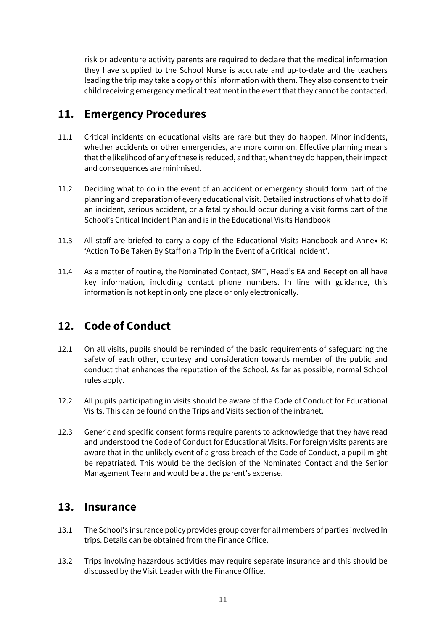risk or adventure activity parents are required to declare that the medical information they have supplied to the School Nurse is accurate and up-to-date and the teachers leading the trip may take a copy of this information with them. They also consent to their child receiving emergency medical treatment in the event that they cannot be contacted.

### **11. Emergency Procedures**

- 11.1 Critical incidents on educational visits are rare but they do happen. Minor incidents, whether accidents or other emergencies, are more common. Effective planning means that the likelihood of any of these is reduced, and that, when they do happen, their impact and consequences are minimised.
- 11.2 Deciding what to do in the event of an accident or emergency should form part of the planning and preparation of every educational visit. Detailed instructions of what to do if an incident, serious accident, or a fatality should occur during a visit forms part of the School's Critical Incident Plan and is in the Educational Visits Handbook
- 11.3 All staff are briefed to carry a copy of the Educational Visits Handbook and Annex K: 'Action To Be Taken By Staff on a Trip in the Event of a Critical Incident'.
- 11.4 As a matter of routine, the Nominated Contact, SMT, Head's EA and Reception all have key information, including contact phone numbers. In line with guidance, this information is not kept in only one place or only electronically.

# **12. Code of Conduct**

- 12.1 On all visits, pupils should be reminded of the basic requirements of safeguarding the safety of each other, courtesy and consideration towards member of the public and conduct that enhances the reputation of the School. As far as possible, normal School rules apply.
- 12.2 All pupils participating in visits should be aware of the Code of Conduct for Educational Visits. This can be found on the Trips and Visits section of the intranet.
- 12.3 Generic and specific consent forms require parents to acknowledge that they have read and understood the Code of Conduct for Educational Visits. For foreign visits parents are aware that in the unlikely event of a gross breach of the Code of Conduct, a pupil might be repatriated. This would be the decision of the Nominated Contact and the Senior Management Team and would be at the parent's expense.

### **13. Insurance**

- 13.1 The School's insurance policy provides group cover for all members of parties involved in trips. Details can be obtained from the Finance Office.
- 13.2 Trips involving hazardous activities may require separate insurance and this should be discussed by the Visit Leader with the Finance Office.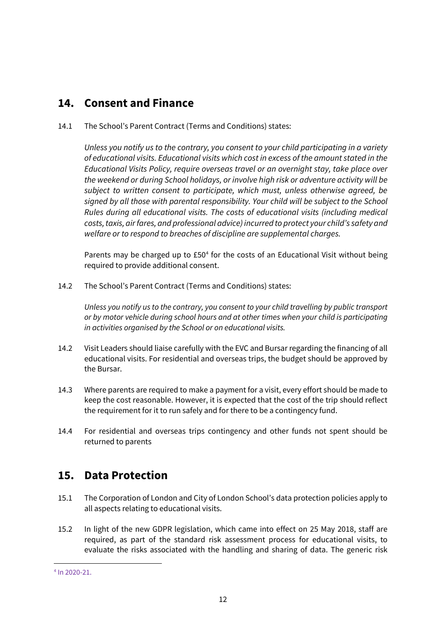# **14. Consent and Finance**

14.1 The School's Parent Contract (Terms and Conditions) states:

*Unless you notify us to the contrary, you consent to your child participating in a variety of educational visits. Educational visits which cost in excess of the amount stated in the Educational Visits Policy, require overseas travel or an overnight stay, take place over the weekend or during School holidays, or involve high risk or adventure activity will be subject to written consent to participate, which must, unless otherwise agreed, be signed by all those with parental responsibility. Your child will be subject to the School Rules during all educational visits. The costs of educational visits (including medical costs, taxis, air fares, and professional advice) incurred to protect your child's safety and welfare or to respond to breaches of discipline are supplemental charges.*

Parents may be charged up to £50<sup>[4](#page-11-0)</sup> for the costs of an Educational Visit without being required to provide additional consent.

14.2 The School's Parent Contract (Terms and Conditions) states:

*Unless you notify us to the contrary, you consent to your child travelling by public transport or by motor vehicle during school hours and at other times when your child is participating in activities organised by the School or on educational visits.* 

- 14.2 Visit Leaders should liaise carefully with the EVC and Bursar regarding the financing of all educational visits. For residential and overseas trips, the budget should be approved by the Bursar.
- 14.3 Where parents are required to make a payment for a visit, every effort should be made to keep the cost reasonable. However, it is expected that the cost of the trip should reflect the requirement for it to run safely and for there to be a contingency fund.
- 14.4 For residential and overseas trips contingency and other funds not spent should be returned to parents

# **15. Data Protection**

- 15.1 The Corporation of London and City of London School's data protection policies apply to all aspects relating to educational visits.
- 15.2 In light of the new GDPR legislation, which came into effect on 25 May 2018, staff are required, as part of the standard risk assessment process for educational visits, to evaluate the risks associated with the handling and sharing of data. The generic risk

<span id="page-11-0"></span><sup>4</sup> In 2020-21.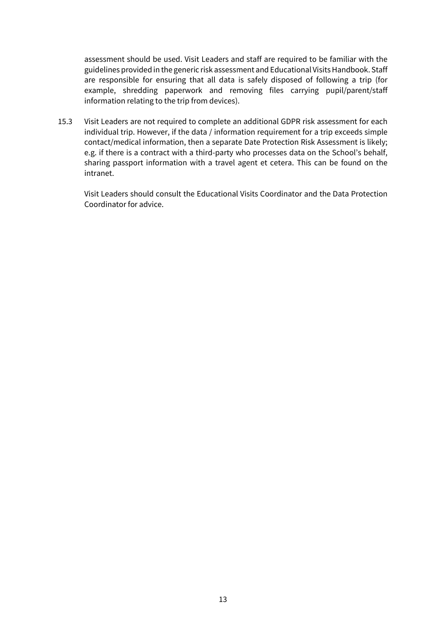assessment should be used. Visit Leaders and staff are required to be familiar with the guidelines provided in the generic risk assessment and Educational Visits Handbook. Staff are responsible for ensuring that all data is safely disposed of following a trip (for example, shredding paperwork and removing files carrying pupil/parent/staff information relating to the trip from devices).

15.3 Visit Leaders are not required to complete an additional GDPR risk assessment for each individual trip. However, if the data / information requirement for a trip exceeds simple contact/medical information, then a separate Date Protection Risk Assessment is likely; e.g. if there is a contract with a third-party who processes data on the School's behalf, sharing passport information with a travel agent et cetera. This can be found on the intranet.

Visit Leaders should consult the Educational Visits Coordinator and the Data Protection Coordinator for advice.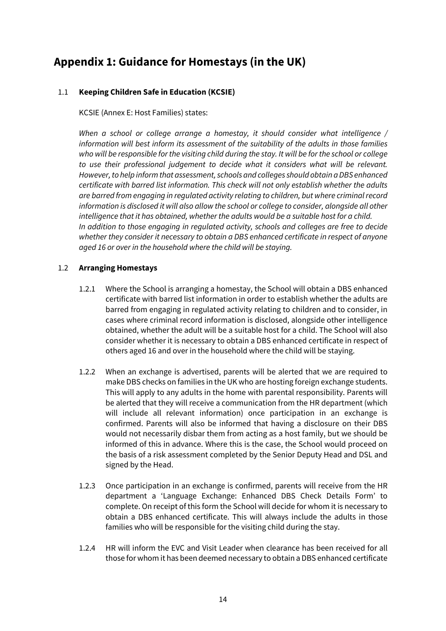# **Appendix 1: Guidance for Homestays (in the UK)**

#### 1.1 **Keeping Children Safe in Education (KCSIE)**

KCSIE (Annex E: Host Families) states:

*When a school or college arrange a homestay, it should consider what intelligence / information will best inform its assessment of the suitability of the adults in those families who will be responsible for the visiting child during the stay. It will be for the school or college to use their professional judgement to decide what it considers what will be relevant. However, to help inform that assessment, schools and colleges should obtain a DBS enhanced certificate with barred list information. This check will not only establish whether the adults are barred from engaging in regulated activity relating to children, but where criminal record information is disclosed it will also allow the school or college to consider, alongside all other intelligence that it has obtained, whether the adults would be a suitable host for a child. In addition to those engaging in regulated activity, schools and colleges are free to decide whether they consider it necessary to obtain a DBS enhanced certificate in respect of anyone aged 16 or over in the household where the child will be staying.*

#### 1.2 **Arranging Homestays**

- 1.2.1 Where the School is arranging a homestay, the School will obtain a DBS enhanced certificate with barred list information in order to establish whether the adults are barred from engaging in regulated activity relating to children and to consider, in cases where criminal record information is disclosed, alongside other intelligence obtained, whether the adult will be a suitable host for a child. The School will also consider whether it is necessary to obtain a DBS enhanced certificate in respect of others aged 16 and over in the household where the child will be staying.
- 1.2.2 When an exchange is advertised, parents will be alerted that we are required to make DBS checks on families in the UK who are hosting foreign exchange students. This will apply to any adults in the home with parental responsibility. Parents will be alerted that they will receive a communication from the HR department (which will include all relevant information) once participation in an exchange is confirmed. Parents will also be informed that having a disclosure on their DBS would not necessarily disbar them from acting as a host family, but we should be informed of this in advance. Where this is the case, the School would proceed on the basis of a risk assessment completed by the Senior Deputy Head and DSL and signed by the Head.
- 1.2.3 Once participation in an exchange is confirmed, parents will receive from the HR department a 'Language Exchange: Enhanced DBS Check Details Form' to complete. On receipt of this form the School will decide for whom it is necessary to obtain a DBS enhanced certificate. This will always include the adults in those families who will be responsible for the visiting child during the stay.
- 1.2.4 HR will inform the EVC and Visit Leader when clearance has been received for all those for whom it has been deemed necessary to obtain a DBS enhanced certificate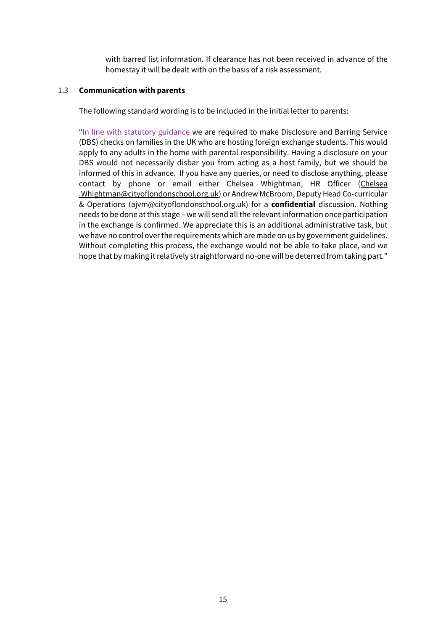with barred list information. If clearance has not been received in advance of the homestay it will be dealt with on the basis of a risk assessment.

#### 1.3 **Communication with parents**

The following standard wording is to be included in the initial letter to parents:

"In line with statutory guidance we are required to make Disclosure and Barring Service (DBS) checks on families in the UK who are hosting foreign exchange students. This would apply to any adults in the home with parental responsibility. Having a disclosure on your DBS would not necessarily disbar you from acting as a host family, but we should be informed of this in advance. If you have any queries, or need to disclose anything, please contact by phone or email either Chelsea Whightman, HR Officer [\(Chelsea](mailto:Chelsea%20.Whightman@cityoflondonschool.org.uk)  [.Whightman@cityoflondonschool.org.uk\)](mailto:Chelsea%20.Whightman@cityoflondonschool.org.uk) or Andrew McBroom, Deputy Head Co-curricular & Operations [\(ajvm@cityoflondonschool.org.uk\)](mailto:ajvm@cityoflondonschool.org.uk) for a **confidential** discussion. Nothing needs to be done at this stage – we will send all the relevant information once participation in the exchange is confirmed. We appreciate this is an additional administrative task, but we have no control over the requirements which are made on us by government guidelines. Without completing this process, the exchange would not be able to take place, and we hope that by making it relatively straightforward no-one will be deterred from taking part."